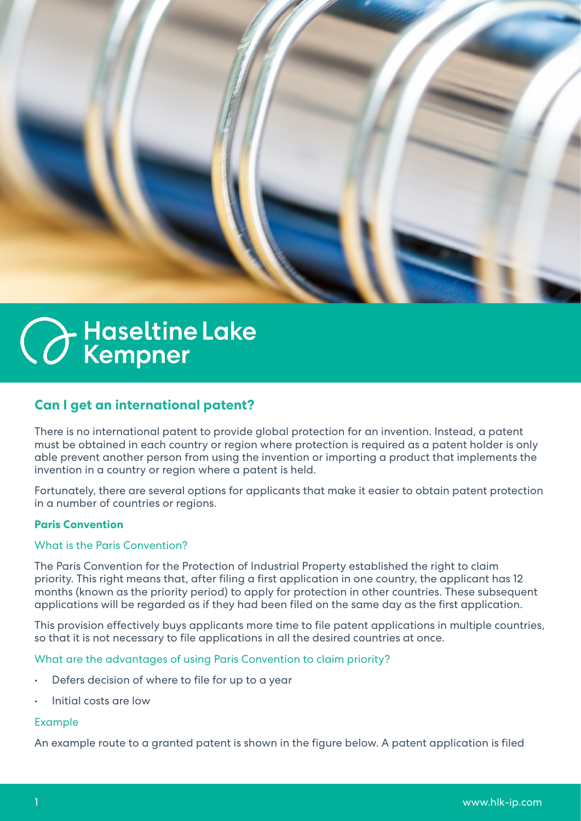

# **C** Haseltine Lake

## **Can I get an international patent?**

There is no international patent to provide global protection for an invention. Instead, a patent must be obtained in each country or region where protection is required as a patent holder is only able prevent another person from using the invention or importing a product that implements the invention in a country or region where a patent is held.

Fortunately, there are several options for applicants that make it easier to obtain patent protection in a number of countries or regions.

#### **Paris Convention**

#### What is the Paris Convention?

The Paris Convention for the Protection of Industrial Property established the right to claim priority. This right means that, after filing a first application in one country, the applicant has 12 months (known as the priority period) to apply for protection in other countries. These subsequent applications will be regarded as if they had been filed on the same day as the first application.

This provision effectively buys applicants more time to file patent applications in multiple countries, so that it is not necessary to file applications in all the desired countries at once.

#### What are the advantages of using Paris Convention to claim priority?

- Defers decision of where to file for up to a year
- Initial costs are low

#### Example

An example route to a granted patent is shown in the figure below. A patent application is filed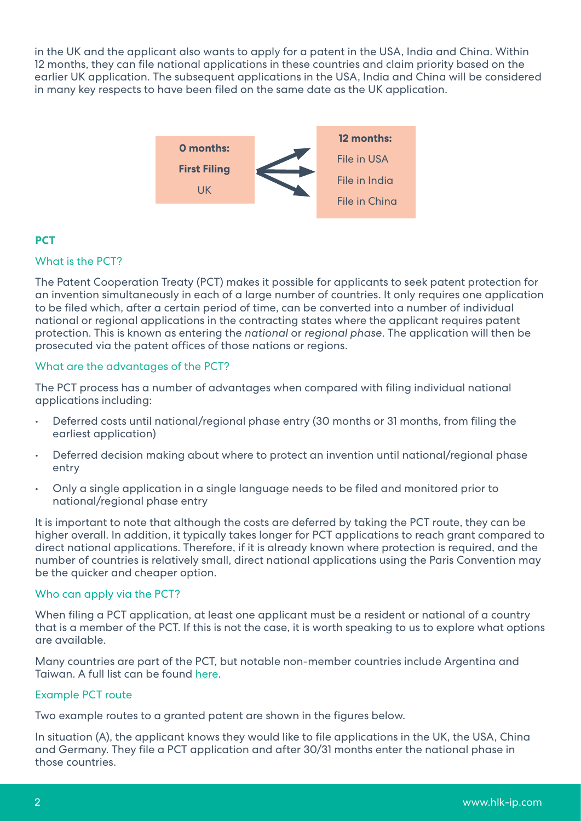in the UK and the applicant also wants to apply for a patent in the USA, India and China. Within 12 months, they can file national applications in these countries and claim priority based on the earlier UK application. The subsequent applications in the USA, India and China will be considered in many key respects to have been filed on the same date as the UK application.



## **PCT**

#### What is the PCT?

The Patent Cooperation Treaty (PCT) makes it possible for applicants to seek patent protection for an invention simultaneously in each of a large number of countries. It only requires one application to be filed which, after a certain period of time, can be converted into a number of individual national or regional applications in the contracting states where the applicant requires patent protection. This is known as entering the *national* or *regional phase*. The application will then be prosecuted via the patent offices of those nations or regions.

#### What are the advantages of the PCT?

The PCT process has a number of advantages when compared with filing individual national applications including:

- Deferred costs until national/regional phase entry (30 months or 31 months, from filing the earliest application)
- Deferred decision making about where to protect an invention until national/regional phase entry
- Only a single application in a single language needs to be filed and monitored prior to national/regional phase entry

It is important to note that although the costs are deferred by taking the PCT route, they can be higher overall. In addition, it typically takes longer for PCT applications to reach grant compared to direct national applications. Therefore, if it is already known where protection is required, and the number of countries is relatively small, direct national applications using the Paris Convention may be the quicker and cheaper option.

#### Who can apply via the PCT?

When filing a PCT application, at least one applicant must be a resident or national of a country that is a member of the PCT. If this is not the case, it is worth speaking to us to explore what options are available.

Many countries are part of the PCT, but notable non-member countries include Argentina and Taiwan. A full list can be found [here.](https://www.wipo.int/pct/en/pct_contracting_states.html)

#### Example PCT route

Two example routes to a granted patent are shown in the figures below.

In situation (A), the applicant knows they would like to file applications in the UK, the USA, China and Germany. They file a PCT application and after 30/31 months enter the national phase in those countries.